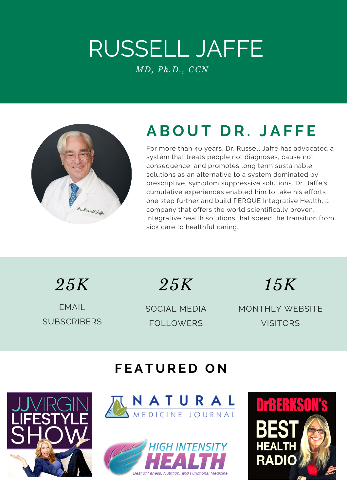## RUSSELL JAFFE *MD, Ph.D., CCN*



### **A B O U T D R . J A F F E**

For more than 40 years, Dr. Russell Jaffe has advocated a system that treats people not diagnoses, cause not [consequence,](http://www.drrusselljaffe.com/) and promotes long term sustainable solutions as an alternative to a system dominated by prescriptive, symptom suppressive solutions. Dr. Jaffe's cumulative experiences enabled him to take his efforts one step further and build PERQUE Integrative Health, a company that offers the world scientifically proven, integrative health solutions that speed the transition from sick care to healthful caring.

*25K 25K 15K*

EMAIL **SUBSCRIBERS** 

SOCIAL MEDIA FOLLOWERS

MONTHLY WEBSITE VISITORS

#### **F E A T U R E D O N**





Best of Fitness, Nutrition, and Functional Medicine